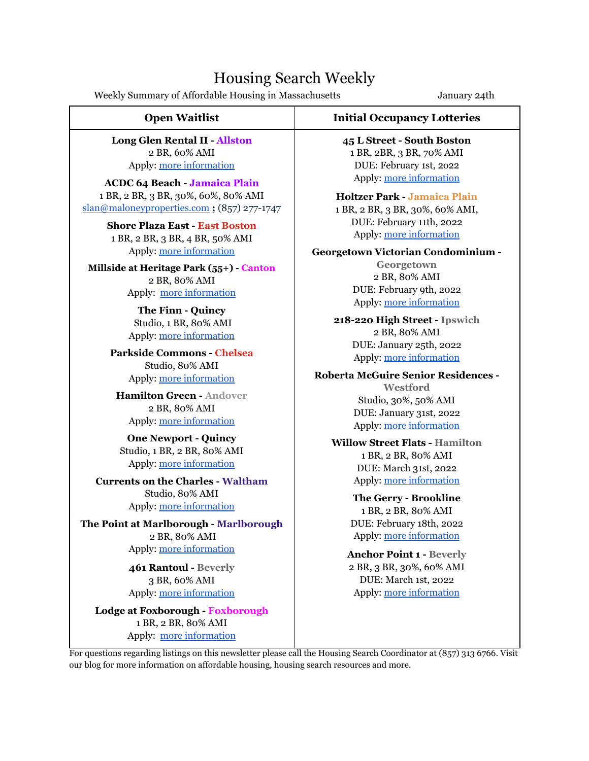## Housing Search Weekly

Weekly Summary of Affordable Housing in Massachusetts January 24th

**Long Glen Rental II - Allston** 2 BR, 60% AMI Apply: more [information](https://www.boston.gov/sites/default/files/metrolist_pdf/2020/07/lgrii-apt-ad.pdf)

**ACDC 64 Beach - Jamaica Plain** 1 BR, 2 BR, 3 BR, 30%, 60%, 80% AMI [slan@maloneyproperties.com](mailto:slan@maloneyproperties.com) **;** (857) 277-1747

> **Shore Plaza East - East Boston** 1 BR, 2 BR, 3 BR, 4 BR, 50% AMI Apply: more [information](https://www.waboston.com/portfolio/14-management/massachusetts/8-shore-plaza-east)

**Millside at Heritage Park (55+) - Canton** 2 BR, 80% AMI Apply: more [information](https://sebhousing.com/property/millside-at-heritage-park/)

> **The Finn - Quincy** Studio, 1 BR, 80% AMI Apply: more [information](https://sebhousing.com/property/the-finn-building/)

**Parkside Commons - Chelsea** Studio, 80% AMI Apply: more [information](https://www.boston.gov/sites/default/files/metrolist_pdf/2020/07/2021-40b-application-waitlist.pdf)

**Hamilton Green - Andover** 2 BR, 80% AMI Apply: more [information](https://www.maloneyaffordable.com/rental-properties/hamilton-green/)

**One Newport - Quincy** Studio, 1 BR, 2 BR, 80% AMI Apply: more [information](https://www.boston.gov/sites/default/files/file/2021/08/Quincy%20Waitlist%20Application%202021.pdf)

**Currents on the Charles - Waltham** Studio, 80% AMI Apply: more [information](https://www.boston.gov/sites/default/files/metrolist_pdf/2020/07/40b-questionnaire--currents_0.pdf)

**The Point at Marlborough - Marlborough** 2 BR, 80% AMI Apply: more [information](https://sebhousing.com/property/the-point-at-marlborough/)

> **461 Rantoul - Beverly** 3 BR, 60% AMI Apply: more [information](https://www.boston.gov/sites/default/files/file/2021/10/Beverly%20461%20Rantoul%20Waitlist%20Application%202021.pdf)

**Lodge at Foxborough - Foxborough** 1 BR, 2 BR, 80% AMI Apply: more [information](https://www.boston.gov/sites/default/files/file/2020/04/40B%20QUESTIONNAIRE-%20LAF%202019_0.pdf)

**Open Waitlist Initial Occupancy Lotteries**

**45 L Street - South Boston** 1 BR, 2BR, 3 BR, 70% AMI DUE: February 1st, 2o22 Apply: more [information](https://mcusercontent.com/73056b3c14f1431806f23f523/files/6d06009a-1abd-eb4f-3bd7-5029a03609ab/45_L_Street_BFHC_Approved_Compliance_1.pdf)

**Holtzer Park - Jamaica Plain** 1 BR, 2 BR, 3 BR, 30%, 60% AMI, DUE: February 11th, 2022 Apply: more [information](https://www.holtzerparkapts.com/)

**Georgetown Victorian Condominium -**

**Georgetown** 2 BR, 80% AMI DUE: February 9th, 2022 Apply: more [information](https://www.boston.gov/sites/default/files/metrolist_pdf/2020/07/30-e.-main-application.pdf)

**218-220 High Street - Ipswich** 2 BR, 80% AMI DUE: January 25th, 2022 Apply: more [information](https://mcohousingservices.com/pdfs/rentals/218-220highst-application.pdf)

**Roberta McGuire Senior Residences -**

**Westford** Studio, 30%, 50% AMI DUE: January 31st, 2022 Apply: more [information](https://www.boston.gov/sites/default/files/metrolist_pdf/2020/07/rmsr_lottery_packet-%28final_09.30.21.pdf)

**Willow Street Flats - Hamilton** 1 BR, 2 BR, 80% AMI DUE: March 31st, 2022 Apply: more [information](https://harborlightcp.org/housing/housing-lottery-opportunity/)

> **The Gerry - Brookline** 1 BR, 2 BR, 80% AMI DUE: February 18th, 2022 Apply: more [information](https://www.boston.gov/sites/default/files/metrolist_pdf/2020/07/the-gerry---lottery-advertisement-%28002.pdf)

**Anchor Point 1 - Beverly** 2 BR, 3 BR, 30%, 60% AMI DUE: March 1st, 2022 Apply: more [information](https://harborlightcp.org/housing/housing-lottery-opportunity/)

For questions regarding listings on this newsletter please call the Housing Search Coordinator at (857) 313 6766. Visit our blog for more information on affordable housing, housing search resources and more.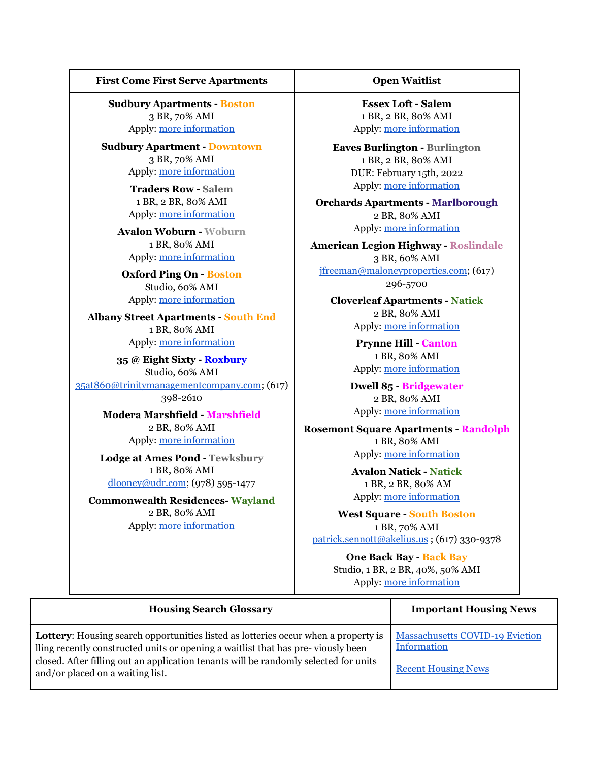## **First Come First Serve Apartments Open Waitlist**

**Sudbury Apartments - Boston** 3 BR, 70% AMI Apply: more [information](https://www.boston.gov/sites/default/files/metrolist_pdf/2020/07/the-sudbury-bpda-income-restricted-unit-information.pdf)

**Sudbury Apartment - Downtown** 3 BR, 70% AMI Apply: more [information](https://www.waboston.com/portfolio/14-management/massachusetts/8-shore-plaza-east)

> **Traders Row - Salem** 1 BR, 2 BR, 80% AMI Apply: more [information](https://www.tradersrow.com/)

**Avalon Woburn - Woburn** 1 BR, 80% AMI Apply: more [information](https://www.boston.gov/sites/default/files/metrolist_pdf/2020/07/avalon-woburn-2021-flyer-3.pdf)

**Oxford Ping On - Boston** Studio, 60% AMI Apply: more [information](https://www.boston.gov/sites/default/files/metrolist_pdf/2020/07/oxford-flyer-10.21.pdf)

**Albany Street Apartments - South End** 1 BR, 80% AMI Apply: more [information](https://www.boston.gov/metrolist/search/housing/albany-street-apartments?ami=0-80&type=rent&assignment=first)

**35 @ Eight Sixty - Roxbury** Studio, 60% AMI [35at860@trinitymanagementcompany.com;](mailto:35at860@trinitymanagementcompany.com) (617) 398-2610

> **Modera Marshfield - Marshfield** 2 BR, 80% AMI Apply: more [information](https://sebhousing.com/property/marshfield-modera/)

**Lodge at Ames Pond - Tewksbury** 1 BR, 80% AMI [dlooney@udr.com;](mailto:dlooney@udr.com) (978) 595-1477

**Commonwealth Residences- Wayland** 2 BR, 80% AMI Apply: more [information](https://mcohousingservices.com/pdfs/rentals/commonwealthresidences-application.pdf)

**Essex Loft - Salem** 1 BR, 2 BR, 80% AMI Apply: more [information](https://www.maloneyrealestate.com/affordable-essex-lofts-waitinglist)

**Eaves Burlington - Burlington** 1 BR, 2 BR, 80% AMI DUE: February 15th, 2022 Apply: more [information](https://www.boston.gov/sites/default/files/metrolist_pdf/2020/07/eaves-burlington-affordable-housing-questionnaire.pdf)

**Orchards Apartments - Marlborough** 2 BR, 80% AMI Apply: more [information](https://www.maloneyrealestate.com/affordable-orchard-apartments-marlboro)

**American Legion Highway - Roslindale** 3 BR, 60% AMI [jfreeman@maloneyproperties.com;](mailto:jfreeman@maloneyproperties.com) (617) 296-5700

**Cloverleaf Apartments - Natick** 2 BR, 80% AMI Apply: more [information](https://sebhousing.com/property/cloverleaf/)

> **Prynne Hill - Canton** 1 BR, 80% AMI Apply: more [information](https://www.maloneyrealestate.com/Affordable-apartments-prynne-hills-massachusetts?utm_campaign=website&utm_source=sendgrid.com&utm_medium=email)

**Dwell 85 - Bridgewater** 2 BR, 80% AMI Apply: more [information](https://sebhousing.com/property/bridgewater-dwell85/)

**Rosemont Square Apartments - Randolph** 1 BR, 80% AMI Apply: more [information](https://sebhousing.com/property/rosemont-square-apartments/)

> **Avalon Natick - Natick** 1 BR, 2 BR, 80% AM Apply: more [information](https://www.boston.gov/sites/default/files/metrolist_pdf/2020/07/avalon-natick-questionnaire.pdf)

**West Square - South Boston** 1 BR, 70% AMI [patrick.sennott@akelius.us](mailto:patrick.sennott@akelius.us) ; (617) 330-9378

**One Back Bay - Back Bay** Studio, 1 BR, 2 BR, 40%, 50% AMI Apply: more [information](https://www.boston.gov/sites/default/files/file/2021/09/One%20Back%20Bay%20Info.%20Sheet%209.1.2021.pdf)

| <b>Housing Search Glossary</b>                                                                                                                                                                                                                                                                            | <b>Important Housing News</b>                                                       |
|-----------------------------------------------------------------------------------------------------------------------------------------------------------------------------------------------------------------------------------------------------------------------------------------------------------|-------------------------------------------------------------------------------------|
| <b>Lottery:</b> Housing search opportunities listed as lotteries occur when a property is<br>lling recently constructed units or opening a waitlist that has pre-viously been<br>closed. After filling out an application tenants will be randomly selected for units<br>and/or placed on a waiting list. | <b>Massachusetts COVID-19 Eviction</b><br>Information<br><b>Recent Housing News</b> |